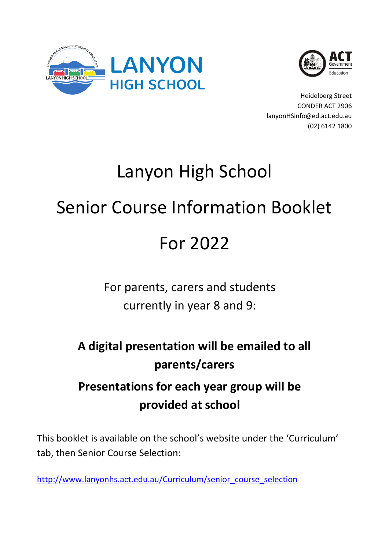



Heidelberg Street CONDER ACT 2906 lanyonHSinfo@ed.act.edu.au (02) 6142 1800

# Lanyon High School

# Senior Course Information Booklet

# For 2022

# For parents, carers and students currently in year 8 and 9:

# **A digital presentation will be emailed to all parents/carers**

# **Presentations for each year group will be provided at school**

This booklet is available on the school's website under the 'Curriculum' tab, then Senior Course Selection:

[http://www.lanyonhs.act.edu.au/Curriculum/senior\\_course\\_selection](http://www.lanyonhs.act.edu.au/Curriculum/senior_course_selection)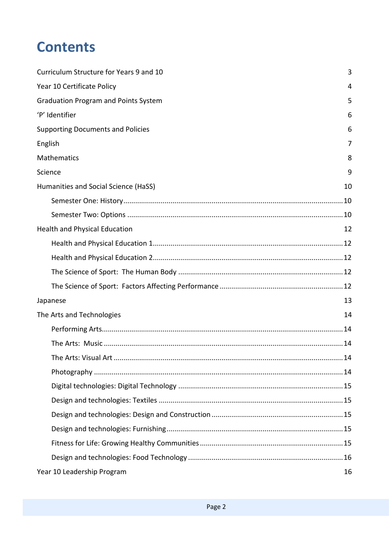# **Contents**

| Curriculum Structure for Years 9 and 10     | 3  |
|---------------------------------------------|----|
| Year 10 Certificate Policy                  | 4  |
| <b>Graduation Program and Points System</b> | 5  |
| 'P' Identifier                              | 6  |
| <b>Supporting Documents and Policies</b>    | 6  |
| English                                     | 7  |
| Mathematics                                 | 8  |
| Science                                     | 9  |
| Humanities and Social Science (HaSS)        | 10 |
|                                             |    |
|                                             |    |
| <b>Health and Physical Education</b>        | 12 |
|                                             |    |
|                                             |    |
|                                             |    |
|                                             |    |
| Japanese                                    | 13 |
| The Arts and Technologies                   | 14 |
|                                             |    |
|                                             |    |
|                                             | 14 |
|                                             |    |
|                                             |    |
|                                             |    |
|                                             |    |
|                                             |    |
|                                             |    |
|                                             |    |
| Year 10 Leadership Program                  | 16 |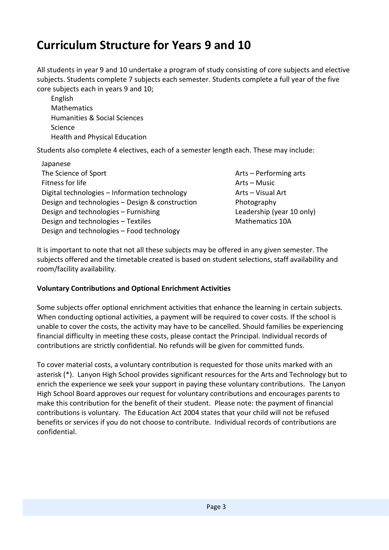### <span id="page-2-0"></span>**Curriculum Structure for Years 9 and 10**

All students in year 9 and 10 undertake a program of study consisting of core subjects and elective subjects. Students complete 7 subjects each semester. Students complete a full year of the five core subjects each in years 9 and 10;

English Mathematics Humanities & Social Sciences Science Health and Physical Education

Students also complete 4 electives, each of a semester length each. These may include:

- Japanese The Science of Sport Fitness for life Digital technologies – Information technology Design and technologies – Design & construction Design and technologies – Furnishing Design and technologies – Textiles Design and technologies – Food technology
- Arts Performing arts Arts – Music Arts – Visual Art Photography Leadership (year 10 only) Mathematics 10A

It is important to note that not all these subjects may be offered in any given semester. The subjects offered and the timetable created is based on student selections, staff availability and room/facility availability.

#### **Voluntary Contributions and Optional Enrichment Activities**

Some subjects offer optional enrichment activities that enhance the learning in certain subjects*.*  When conducting optional activities, a payment will be required to cover costs. If the school is unable to cover the costs, the activity may have to be cancelled. Should families be experiencing financial difficulty in meeting these costs, please contact the Principal. Individual records of contributions are strictly confidential. No refunds will be given for committed funds.

To cover material costs, a voluntary contribution is requested for those units marked with an asterisk (\*). Lanyon High School provides significant resources for the Arts and Technology but to enrich the experience we seek your support in paying these voluntary contributions. The Lanyon High School Board approves our request for voluntary contributions and encourages parents to make this contribution for the benefit of their student. Please note: the payment of financial contributions is voluntary. The Education Act 2004 states that your child will not be refused benefits or services if you do not choose to contribute. Individual records of contributions are confidential.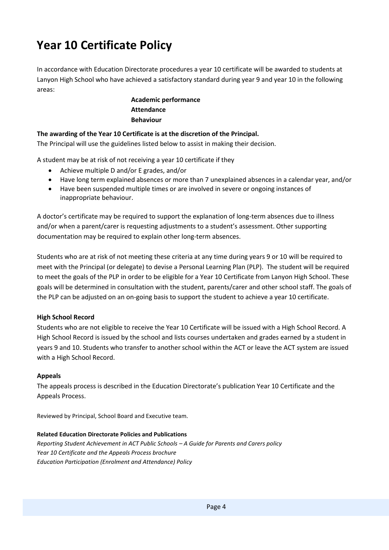# <span id="page-3-0"></span>**Year 10 Certificate Policy**

In accordance with Education Directorate procedures a year 10 certificate will be awarded to students at Lanyon High School who have achieved a satisfactory standard during year 9 and year 10 in the following areas:

> **Academic performance Attendance Behaviour**

#### **The awarding of the Year 10 Certificate is at the discretion of the Principal.**

The Principal will use the guidelines listed below to assist in making their decision.

A student may be at risk of not receiving a year 10 certificate if they

- Achieve multiple D and/or E grades, and/or
- Have long term explained absences or more than 7 unexplained absences in a calendar year, and/or
- Have been suspended multiple times or are involved in severe or ongoing instances of inappropriate behaviour.

A doctor's certificate may be required to support the explanation of long-term absences due to illness and/or when a parent/carer is requesting adjustments to a student's assessment. Other supporting documentation may be required to explain other long-term absences.

Students who are at risk of not meeting these criteria at any time during years 9 or 10 will be required to meet with the Principal (or delegate) to devise a Personal Learning Plan (PLP). The student will be required to meet the goals of the PLP in order to be eligible for a Year 10 Certificate from Lanyon High School. These goals will be determined in consultation with the student, parents/carer and other school staff. The goals of the PLP can be adjusted on an on-going basis to support the student to achieve a year 10 certificate.

#### **High School Record**

Students who are not eligible to receive the Year 10 Certificate will be issued with a High School Record. A High School Record is issued by the school and lists courses undertaken and grades earned by a student in years 9 and 10. Students who transfer to another school within the ACT or leave the ACT system are issued with a High School Record.

#### **Appeals**

The appeals process is described in the Education Directorate's publication Year 10 Certificate and the Appeals Process.

Reviewed by Principal, School Board and Executive team.

#### **Related Education Directorate Policies and Publications**

*Reporting Student Achievement in ACT Public Schools – A Guide for Parents and Carers policy Year 10 Certificate and the Appeals Process brochure [Education Participation \(Enrolment and Attendance\) Policy](https://www.education.act.gov.au/publications_and_policies/School-and-Corporate-Policies/student-administration/enrolment-and-attendance/education-participation-enrolment-and-attendance-policy)*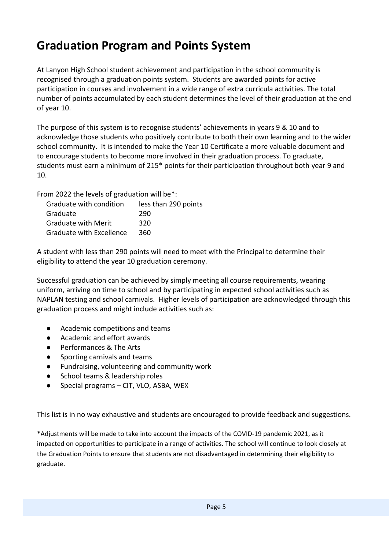# <span id="page-4-0"></span>**Graduation Program and Points System**

At Lanyon High School student achievement and participation in the school community is recognised through a graduation points system. Students are awarded points for active participation in courses and involvement in a wide range of extra curricula activities. The total number of points accumulated by each student determines the level of their graduation at the end of year 10.

The purpose of this system is to recognise students' achievements in years 9 & 10 and to acknowledge those students who positively contribute to both their own learning and to the wider school community. It is intended to make the Year 10 Certificate a more valuable document and to encourage students to become more involved in their graduation process. To graduate, students must earn a minimum of 215\* points for their participation throughout both year 9 and 10.

From 2022 the levels of graduation will be\*:

| Graduate with condition         | less than 290 points |
|---------------------------------|----------------------|
| Graduate                        | 290                  |
| <b>Graduate with Merit</b>      | 320                  |
| <b>Graduate with Excellence</b> | 360                  |

A student with less than 290 points will need to meet with the Principal to determine their eligibility to attend the year 10 graduation ceremony.

Successful graduation can be achieved by simply meeting all course requirements, wearing uniform, arriving on time to school and by participating in expected school activities such as NAPLAN testing and school carnivals. Higher levels of participation are acknowledged through this graduation process and might include activities such as:

- Academic competitions and teams
- Academic and effort awards
- Performances & The Arts
- Sporting carnivals and teams
- Fundraising, volunteering and community work
- School teams & leadership roles
- Special programs CIT, VLO, ASBA, WEX

This list is in no way exhaustive and students are encouraged to provide feedback and suggestions.

\*Adjustments will be made to take into account the impacts of the COVID-19 pandemic 2021, as it impacted on opportunities to participate in a range of activities. The school will continue to look closely at the Graduation Points to ensure that students are not disadvantaged in determining their eligibility to graduate.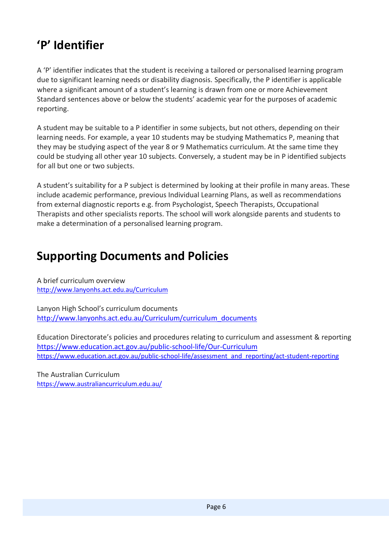# <span id="page-5-0"></span>**'P' Identifier**

A 'P' identifier indicates that the student is receiving a tailored or personalised learning program due to significant learning needs or disability diagnosis. Specifically, the P identifier is applicable where a significant amount of a student's learning is drawn from one or more Achievement Standard sentences above or below the students' academic year for the purposes of academic reporting.

A student may be suitable to a P identifier in some subjects, but not others, depending on their learning needs. For example, a year 10 students may be studying Mathematics P, meaning that they may be studying aspect of the year 8 or 9 Mathematics curriculum. At the same time they could be studying all other year 10 subjects. Conversely, a student may be in P identified subjects for all but one or two subjects.

A student's suitability for a P subject is determined by looking at their profile in many areas. These include academic performance, previous Individual Learning Plans, as well as recommendations from external diagnostic reports e.g. from Psychologist, Speech Therapists, Occupational Therapists and other specialists reports. The school will work alongside parents and students to make a determination of a personalised learning program.

### <span id="page-5-1"></span>**Supporting Documents and Policies**

A brief curriculum overview <http://www.lanyonhs.act.edu.au/Curriculum>

Lanyon High School's curriculum documents [http://www.lanyonhs.act.edu.au/Curriculum/curriculum\\_documents](http://www.lanyonhs.act.edu.au/Curriculum/curriculum_documents)

Education Directorate's policies and procedures relating to curriculum and assessment & reporting <https://www.education.act.gov.au/public-school-life/Our-Curriculum> [https://www.education.act.gov.au/public-school-life/assessment\\_and\\_reporting/act-student-reporting](https://www.education.act.gov.au/public-school-life/assessment_and_reporting/act-student-reporting)

The Australian Curriculum <https://www.australiancurriculum.edu.au/>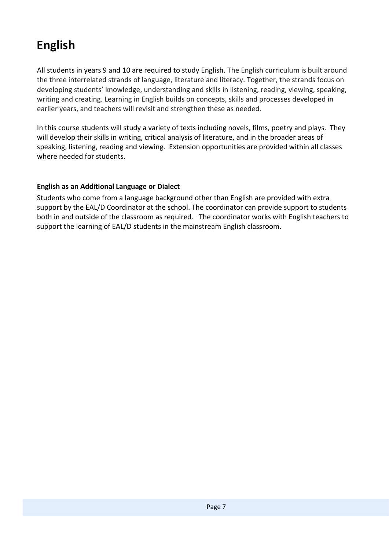# <span id="page-6-0"></span>**English**

All students in years 9 and 10 are required to study English. The English curriculum is built around the three interrelated strands of language, literature and literacy. Together, the strands focus on developing students' knowledge, understanding and skills in listening, reading, viewing, speaking, writing and creating. Learning in English builds on concepts, skills and processes developed in earlier years, and teachers will revisit and strengthen these as needed.

In this course students will study a variety of texts including novels, films, poetry and plays. They will develop their skills in writing, critical analysis of literature, and in the broader areas of speaking, listening, reading and viewing. Extension opportunities are provided within all classes where needed for students.

#### **English as an Additional Language or Dialect**

Students who come from a language background other than English are provided with extra support by the EAL/D Coordinator at the school. The coordinator can provide support to students both in and outside of the classroom as required. The coordinator works with English teachers to support the learning of EAL/D students in the mainstream English classroom.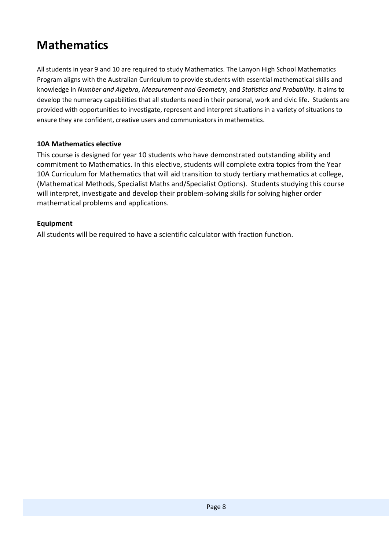# <span id="page-7-0"></span>**Mathematics**

All students in year 9 and 10 are required to study Mathematics. The Lanyon High School Mathematics Program aligns with the Australian Curriculum to provide students with essential mathematical skills and knowledge in *Number and Algebra*, *Measurement and Geometry*, and *Statistics and Probability*. It aims to develop the numeracy capabilities that all students need in their personal, work and civic life. Students are provided with opportunities to investigate, represent and interpret situations in a variety of situations to ensure they are confident, creative users and communicators in mathematics.

#### **10A Mathematics elective**

This course is designed for year 10 students who have demonstrated outstanding ability and commitment to Mathematics. In this elective, students will complete extra topics from the Year 10A Curriculum for Mathematics that will aid transition to study tertiary mathematics at college, (Mathematical Methods, Specialist Maths and/Specialist Options). Students studying this course will interpret, investigate and develop their problem-solving skills for solving higher order mathematical problems and applications.

#### **Equipment**

All students will be required to have a scientific calculator with fraction function.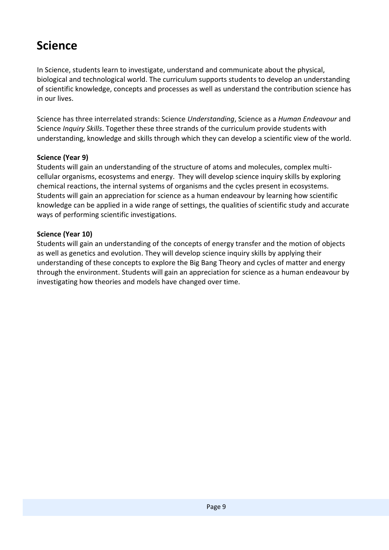# <span id="page-8-0"></span>**Science**

In Science, students learn to investigate, understand and communicate about the physical, biological and technological world. The curriculum supports students to develop an understanding of scientific knowledge, concepts and processes as well as understand the contribution science has in our lives.

Science has three interrelated strands: Science *Understanding*, Science as a *Human Endeavour* and Science *Inquiry Skills*. Together these three strands of the curriculum provide students with understanding, knowledge and skills through which they can develop a scientific view of the world.

#### **Science (Year 9)**

Students will gain an understanding of the structure of atoms and molecules, complex multicellular organisms, ecosystems and energy. They will develop science inquiry skills by exploring chemical reactions, the internal systems of organisms and the cycles present in ecosystems. Students will gain an appreciation for science as a human endeavour by learning how scientific knowledge can be applied in a wide range of settings, the qualities of scientific study and accurate ways of performing scientific investigations.

#### **Science (Year 10)**

Students will gain an understanding of the concepts of energy transfer and the motion of objects as well as genetics and evolution. They will develop science inquiry skills by applying their understanding of these concepts to explore the Big Bang Theory and cycles of matter and energy through the environment. Students will gain an appreciation for science as a human endeavour by investigating how theories and models have changed over time.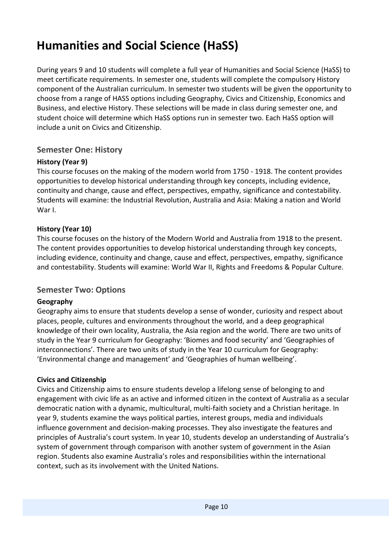# <span id="page-9-0"></span>**Humanities and Social Science (HaSS)**

During years 9 and 10 students will complete a full year of Humanities and Social Science (HaSS) to meet certificate requirements. In semester one, students will complete the compulsory History component of the Australian curriculum. In semester two students will be given the opportunity to choose from a range of HASS options including Geography, Civics and Citizenship, Economics and Business, and elective History. These selections will be made in class during semester one, and student choice will determine which HaSS options run in semester two. Each HaSS option will include a unit on Civics and Citizenship.

#### <span id="page-9-1"></span>**Semester One: History**

#### **History (Year 9)**

This course focuses on the making of the modern world from 1750 - 1918. The content provides opportunities to develop historical understanding through key concepts, including evidence, continuity and change, cause and effect, perspectives, empathy, significance and contestability. Students will examine: the Industrial Revolution, Australia and Asia: Making a nation and World War I.

#### **History (Year 10)**

This course focuses on the history of the Modern World and Australia from 1918 to the present. The content provides opportunities to develop historical understanding through key concepts, including evidence, continuity and change, cause and effect, perspectives, empathy, significance and contestability. Students will examine: World War II, Rights and Freedoms & Popular Culture.

#### <span id="page-9-2"></span>**Semester Two: Options**

#### **Geography**

Geography aims to ensure that students develop a sense of wonder, curiosity and respect about places, people, cultures and environments throughout the world, and a deep geographical knowledge of their own locality, Australia, the Asia region and the world. There are two units of study in the Year 9 curriculum for Geography: 'Biomes and food security' and 'Geographies of interconnections'. There are two units of study in the Year 10 curriculum for Geography: 'Environmental change and management' and 'Geographies of human wellbeing'.

#### **Civics and Citizenship**

Civics and Citizenship aims to ensure students develop a lifelong sense of belonging to and engagement with civic life as an active and informed citizen in the context of Australia as a secular democratic nation with a dynamic, multicultural, multi-faith society and a Christian heritage. In year 9, students examine the ways political parties, interest groups, media and individuals influence government and decision-making processes. They also investigate the features and principles of Australia's court system. In year 10, students develop an understanding of Australia's system of government through comparison with another system of government in the Asian region. Students also examine Australia's roles and responsibilities within the international context, such as its involvement with the United Nations.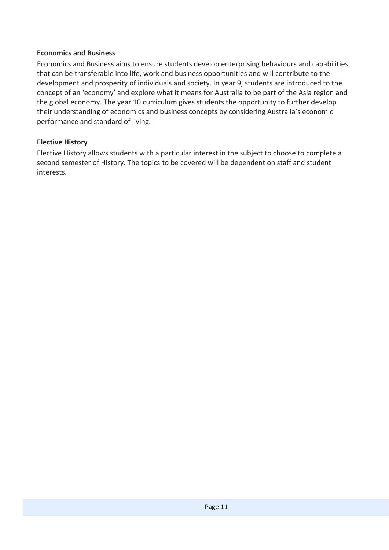#### **Economics and Business**

Economics and Business aims to ensure students develop enterprising behaviours and capabilities that can be transferable into life, work and business opportunities and will contribute to the development and prosperity of individuals and society. In year 9, students are introduced to the concept of an 'economy' and explore what it means for Australia to be part of the Asia region and the global economy. The year 10 curriculum gives students the opportunity to further develop their understanding of economics and business concepts by considering Australia's economic performance and standard of living.

#### **Elective History**

Elective History allows students with a particular interest in the subject to choose to complete a second semester of History. The topics to be covered will be dependent on staff and student interests.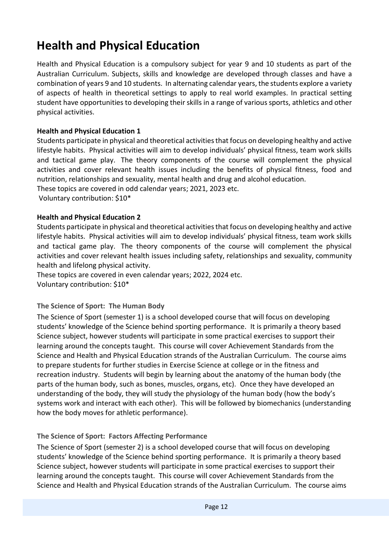# <span id="page-11-0"></span>**Health and Physical Education**

Health and Physical Education is a compulsory subject for year 9 and 10 students as part of the Australian Curriculum. Subjects, skills and knowledge are developed through classes and have a combination of years 9 and 10 students. In alternating calendar years, the students explore a variety of aspects of health in theoretical settings to apply to real world examples. In practical setting student have opportunities to developing their skills in a range of various sports, athletics and other physical activities.

#### <span id="page-11-1"></span>**Health and Physical Education 1**

Students participate in physical and theoretical activities that focus on developing healthy and active lifestyle habits. Physical activities will aim to develop individuals' physical fitness, team work skills and tactical game play. The theory components of the course will complement the physical activities and cover relevant health issues including the benefits of physical fitness, food and nutrition, relationships and sexuality, mental health and drug and alcohol education.

These topics are covered in odd calendar years; 2021, 2023 etc.

Voluntary contribution: \$10\*

#### <span id="page-11-2"></span>**Health and Physical Education 2**

Students participate in physical and theoretical activities that focus on developing healthy and active lifestyle habits. Physical activities will aim to develop individuals' physical fitness, team work skills and tactical game play. The theory components of the course will complement the physical activities and cover relevant health issues including safety, relationships and sexuality, community health and lifelong physical activity.

These topics are covered in even calendar years; 2022, 2024 etc.

Voluntary contribution: \$10\*

#### <span id="page-11-3"></span>**The Science of Sport: The Human Body**

The Science of Sport (semester 1) is a school developed course that will focus on developing students' knowledge of the Science behind sporting performance. It is primarily a theory based Science subject, however students will participate in some practical exercises to support their learning around the concepts taught. This course will cover Achievement Standards from the Science and Health and Physical Education strands of the Australian Curriculum. The course aims to prepare students for further studies in Exercise Science at college or in the fitness and recreation industry. Students will begin by learning about the anatomy of the human body (the parts of the human body, such as bones, muscles, organs, etc). Once they have developed an understanding of the body, they will study the physiology of the human body (how the body's systems work and interact with each other). This will be followed by biomechanics (understanding how the body moves for athletic performance).

#### <span id="page-11-4"></span>**The Science of Sport: Factors Affecting Performance**

The Science of Sport (semester 2) is a school developed course that will focus on developing students' knowledge of the Science behind sporting performance. It is primarily a theory based Science subject, however students will participate in some practical exercises to support their learning around the concepts taught. This course will cover Achievement Standards from the Science and Health and Physical Education strands of the Australian Curriculum. The course aims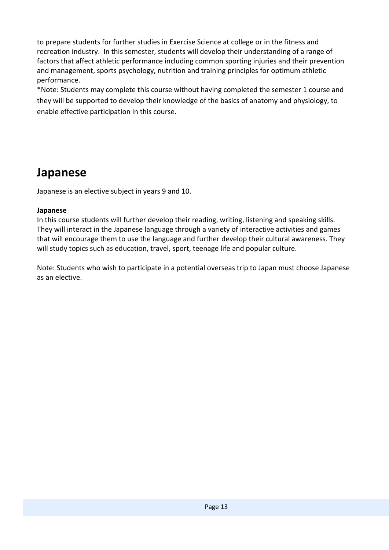to prepare students for further studies in Exercise Science at college or in the fitness and recreation industry. In this semester, students will develop their understanding of a range of factors that affect athletic performance including common sporting injuries and their prevention and management, sports psychology, nutrition and training principles for optimum athletic performance.

\*Note: Students may complete this course without having completed the semester 1 course and they will be supported to develop their knowledge of the basics of anatomy and physiology, to enable effective participation in this course.

### <span id="page-12-0"></span>**Japanese**

Japanese is an elective subject in years 9 and 10.

#### **Japanese**

In this course students will further develop their reading, writing, listening and speaking skills. They will interact in the Japanese language through a variety of interactive activities and games that will encourage them to use the language and further develop their cultural awareness. They will study topics such as education, travel, sport, teenage life and popular culture.

Note: Students who wish to participate in a potential overseas trip to Japan must choose Japanese as an elective.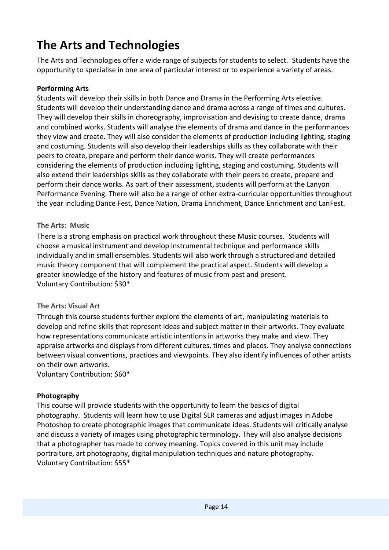# <span id="page-13-0"></span>**The Arts and Technologies**

The Arts and Technologies offer a wide range of subjects for students to select. Students have the opportunity to specialise in one area of particular interest or to experience a variety of areas.

#### <span id="page-13-1"></span>**Performing Arts**

Students will develop their skills in both Dance and Drama in the Performing Arts elective. Students will develop their understanding dance and drama across a range of times and cultures. They will develop their skills in choreography, improvisation and devising to create dance, drama and combined works. Students will analyse the elements of drama and dance in the performances they view and create. They will also consider the elements of production including lighting, staging and costuming. Students will also develop their leaderships skills as they collaborate with their peers to create, prepare and perform their dance works. They will create performances considering the elements of production including lighting, staging and costuming. Students will also extend their leaderships skills as they collaborate with their peers to create, prepare and perform their dance works. As part of their assessment, students will perform at the Lanyon Performance Evening. There will also be a range of other extra-curricular opportunities throughout the year including Dance Fest, Dance Nation, Drama Enrichment, Dance Enrichment and LanFest.

#### <span id="page-13-2"></span>**The Arts: Music**

There is a strong emphasis on practical work throughout these Music courses. Students will choose a musical instrument and develop instrumental technique and performance skills individually and in small ensembles. Students will also work through a structured and detailed music theory component that will complement the practical aspect. Students will develop a greater knowledge of the history and features of music from past and present. Voluntary Contribution: \$30\*

#### <span id="page-13-3"></span>**The Arts: Visual Art**

Through this course students further explore the elements of art, manipulating [materials](http://materials/) to develop and refine skills that represent ideas and subject matter in their artworks. They evaluate how representations communicate artistic intentions in artworks they make and view. They appraise artworks and displays from different cultures, times and places. They analyse connections between visual conventions, practices and viewpoints. They also identify influences of other artists on their own artworks.

Voluntary Contribution: \$60\*

#### <span id="page-13-4"></span>**Photography**

This course will provide students with the opportunity to learn the basics of digital photography. Students will learn how to use Digital SLR cameras and adjust images in Adobe Photoshop to create photographic images that communicate ideas. Students will critically analyse and discuss a variety of images using photographic terminology. They will also analyse decisions that a photographer has made to convey meaning. Topics covered in this unit may include portraiture, art photography, digital manipulation techniques and nature photography. Voluntary Contribution: \$55\*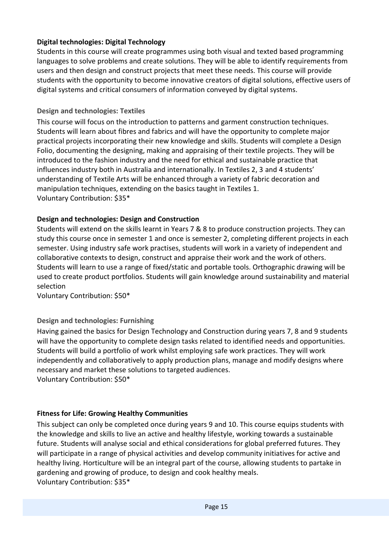#### <span id="page-14-0"></span>**Digital technologies: Digital Technology**

Students in this course will create programmes using both visual and texted based programming languages to solve problems and create solutions. They will be able to identify requirements from users and then design and construct projects that meet these needs. This course will provide students with the opportunity to become innovative creators of digital solutions, effective users of digital systems and critical consumers of information conveyed by digital systems.

#### <span id="page-14-1"></span>**Design and technologies: Textiles**

This course will focus on the introduction to patterns and garment construction techniques. Students will learn about fibres and fabrics and will have the opportunity to complete major practical projects incorporating their new knowledge and skills. Students will complete a Design Folio, documenting the designing, making and appraising of their textile projects. They will be introduced to the fashion industry and the need for ethical and sustainable practice that influences industry both in Australia and internationally. In Textiles 2, 3 and 4 students' understanding of Textile Arts will be enhanced through a variety of fabric decoration and manipulation techniques, extending on the basics taught in Textiles 1. Voluntary Contribution: \$35\*

#### <span id="page-14-2"></span>**Design and technologies: Design and Construction**

Students will extend on the skills learnt in Years 7 & 8 to produce construction projects. They can study this course once in semester 1 and once is semester 2, completing different projects in each semester. Using industry safe work practises, students will work in a variety of independent and collaborative contexts to design, construct and appraise their work and the work of others. Students will learn to use a range of fixed/static and portable tools. Orthographic drawing will be used to create product portfolios. Students will gain knowledge around sustainability and material selection

Voluntary Contribution: \$50\*

#### <span id="page-14-3"></span>**Design and technologies: Furnishing**

Having gained the basics for Design Technology and Construction during years 7, 8 and 9 students will have the opportunity to complete design tasks related to identified needs and opportunities. Students will build a portfolio of work whilst employing safe work practices. They will work independently and collaboratively to apply production plans, manage and modify designs where necessary and market these solutions to targeted audiences. Voluntary Contribution: \$50\*

#### <span id="page-14-4"></span>**Fitness for Life: Growing Healthy Communities**

This subject can only be completed once during years 9 and 10. This course equips students with the knowledge and skills to live an active and healthy lifestyle, working towards a sustainable future. Students will analyse social and ethical considerations for global preferred futures. They will participate in a range of physical activities and develop community initiatives for active and healthy living. Horticulture will be an integral part of the course, allowing students to partake in gardening and growing of produce, to design and cook healthy meals. Voluntary Contribution: \$35\*